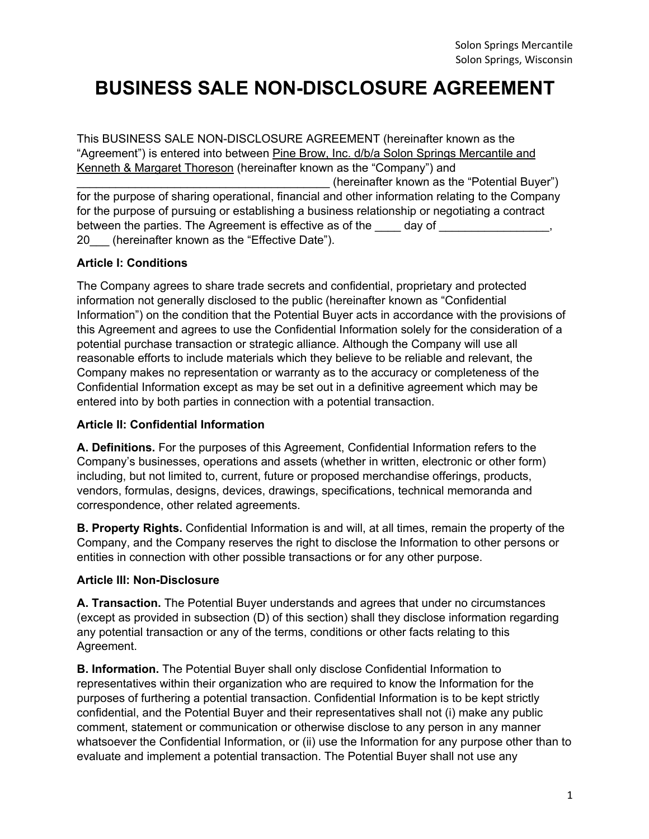# **BUSINESS SALE NON-DISCLOSURE AGREEMENT**

This BUSINESS SALE NON-DISCLOSURE AGREEMENT (hereinafter known as the "Agreement") is entered into between Pine Brow, Inc. d/b/a Solon Springs Mercantile and Kenneth & Margaret Thoreson (hereinafter known as the "Company") and (hereinafter known as the "Potential Buyer") for the purpose of sharing operational, financial and other information relating to the Company for the purpose of pursuing or establishing a business relationship or negotiating a contract between the parties. The Agreement is effective as of the day of 20 (hereinafter known as the "Effective Date").

# **Article I: Conditions**

The Company agrees to share trade secrets and confidential, proprietary and protected information not generally disclosed to the public (hereinafter known as "Confidential Information") on the condition that the Potential Buyer acts in accordance with the provisions of this Agreement and agrees to use the Confidential Information solely for the consideration of a potential purchase transaction or strategic alliance. Although the Company will use all reasonable efforts to include materials which they believe to be reliable and relevant, the Company makes no representation or warranty as to the accuracy or completeness of the Confidential Information except as may be set out in a definitive agreement which may be entered into by both parties in connection with a potential transaction.

#### **Article II: Confidential Information**

**A. Definitions.** For the purposes of this Agreement, Confidential Information refers to the Company's businesses, operations and assets (whether in written, electronic or other form) including, but not limited to, current, future or proposed merchandise offerings, products, vendors, formulas, designs, devices, drawings, specifications, technical memoranda and correspondence, other related agreements.

**B. Property Rights.** Confidential Information is and will, at all times, remain the property of the Company, and the Company reserves the right to disclose the Information to other persons or entities in connection with other possible transactions or for any other purpose.

# **Article III: Non-Disclosure**

**A. Transaction.** The Potential Buyer understands and agrees that under no circumstances (except as provided in subsection (D) of this section) shall they disclose information regarding any potential transaction or any of the terms, conditions or other facts relating to this Agreement.

**B. Information.** The Potential Buyer shall only disclose Confidential Information to representatives within their organization who are required to know the Information for the purposes of furthering a potential transaction. Confidential Information is to be kept strictly confidential, and the Potential Buyer and their representatives shall not (i) make any public comment, statement or communication or otherwise disclose to any person in any manner whatsoever the Confidential Information, or (ii) use the Information for any purpose other than to evaluate and implement a potential transaction. The Potential Buyer shall not use any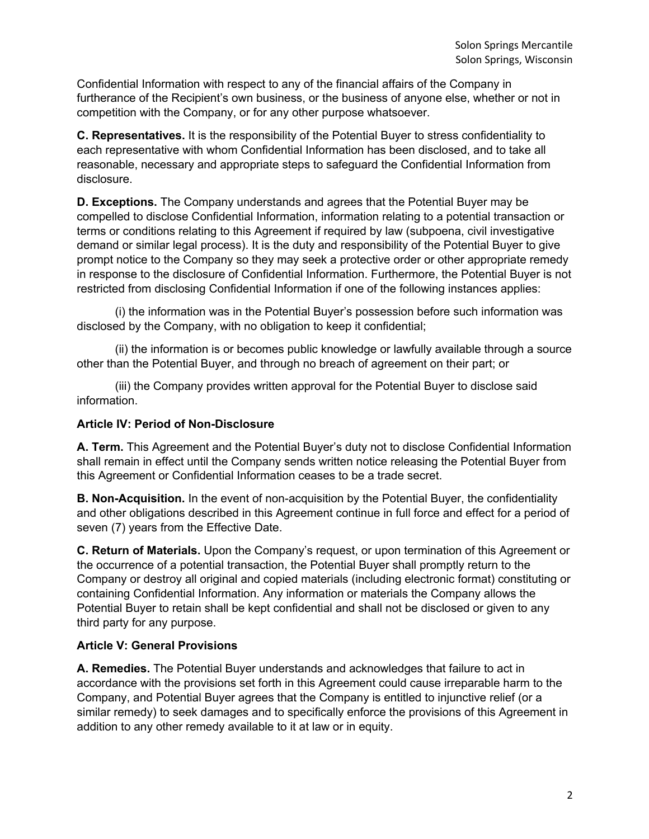Confidential Information with respect to any of the financial affairs of the Company in furtherance of the Recipient's own business, or the business of anyone else, whether or not in competition with the Company, or for any other purpose whatsoever.

**C. Representatives.** It is the responsibility of the Potential Buyer to stress confidentiality to each representative with whom Confidential Information has been disclosed, and to take all reasonable, necessary and appropriate steps to safeguard the Confidential Information from disclosure.

**D. Exceptions.** The Company understands and agrees that the Potential Buyer may be compelled to disclose Confidential Information, information relating to a potential transaction or terms or conditions relating to this Agreement if required by law (subpoena, civil investigative demand or similar legal process). It is the duty and responsibility of the Potential Buyer to give prompt notice to the Company so they may seek a protective order or other appropriate remedy in response to the disclosure of Confidential Information. Furthermore, the Potential Buyer is not restricted from disclosing Confidential Information if one of the following instances applies:

(i) the information was in the Potential Buyer's possession before such information was disclosed by the Company, with no obligation to keep it confidential;

(ii) the information is or becomes public knowledge or lawfully available through a source other than the Potential Buyer, and through no breach of agreement on their part; or

(iii) the Company provides written approval for the Potential Buyer to disclose said information.

### **Article IV: Period of Non-Disclosure**

**A. Term.** This Agreement and the Potential Buyer's duty not to disclose Confidential Information shall remain in effect until the Company sends written notice releasing the Potential Buyer from this Agreement or Confidential Information ceases to be a trade secret.

**B. Non-Acquisition.** In the event of non-acquisition by the Potential Buyer, the confidentiality and other obligations described in this Agreement continue in full force and effect for a period of seven (7) years from the Effective Date.

**C. Return of Materials.** Upon the Company's request, or upon termination of this Agreement or the occurrence of a potential transaction, the Potential Buyer shall promptly return to the Company or destroy all original and copied materials (including electronic format) constituting or containing Confidential Information. Any information or materials the Company allows the Potential Buyer to retain shall be kept confidential and shall not be disclosed or given to any third party for any purpose.

#### **Article V: General Provisions**

**A. Remedies.** The Potential Buyer understands and acknowledges that failure to act in accordance with the provisions set forth in this Agreement could cause irreparable harm to the Company, and Potential Buyer agrees that the Company is entitled to injunctive relief (or a similar remedy) to seek damages and to specifically enforce the provisions of this Agreement in addition to any other remedy available to it at law or in equity.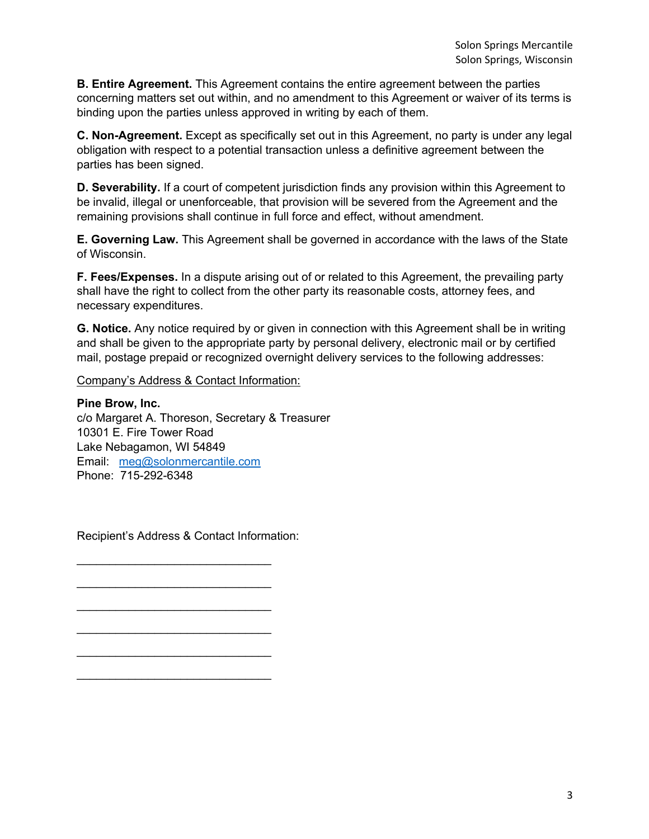**B. Entire Agreement.** This Agreement contains the entire agreement between the parties concerning matters set out within, and no amendment to this Agreement or waiver of its terms is binding upon the parties unless approved in writing by each of them.

**C. Non-Agreement.** Except as specifically set out in this Agreement, no party is under any legal obligation with respect to a potential transaction unless a definitive agreement between the parties has been signed.

**D. Severability.** If a court of competent jurisdiction finds any provision within this Agreement to be invalid, illegal or unenforceable, that provision will be severed from the Agreement and the remaining provisions shall continue in full force and effect, without amendment.

**E. Governing Law.** This Agreement shall be governed in accordance with the laws of the State of Wisconsin.

**F. Fees/Expenses.** In a dispute arising out of or related to this Agreement, the prevailing party shall have the right to collect from the other party its reasonable costs, attorney fees, and necessary expenditures.

**G. Notice.** Any notice required by or given in connection with this Agreement shall be in writing and shall be given to the appropriate party by personal delivery, electronic mail or by certified mail, postage prepaid or recognized overnight delivery services to the following addresses:

Company's Address & Contact Information:

**Pine Brow, Inc.** c/o Margaret A. Thoreson, Secretary & Treasurer 10301 E. Fire Tower Road Lake Nebagamon, WI 54849 Email: meg@solonmercantile.com Phone: 715-292-6348

Recipient's Address & Contact Information:

 $\mathcal{L}=\{1,2,3,4,5\}$ 

\_\_\_\_\_\_\_\_\_\_\_\_\_\_\_\_\_\_\_\_\_\_\_\_\_\_\_\_\_\_

 $\mathcal{L}=\{1,2,3,4,5\}$ 

 $\mathcal{L}=\{1,2,3,4,5\}$ 

 $\mathcal{L}=\{1,2,3,4,5\}$